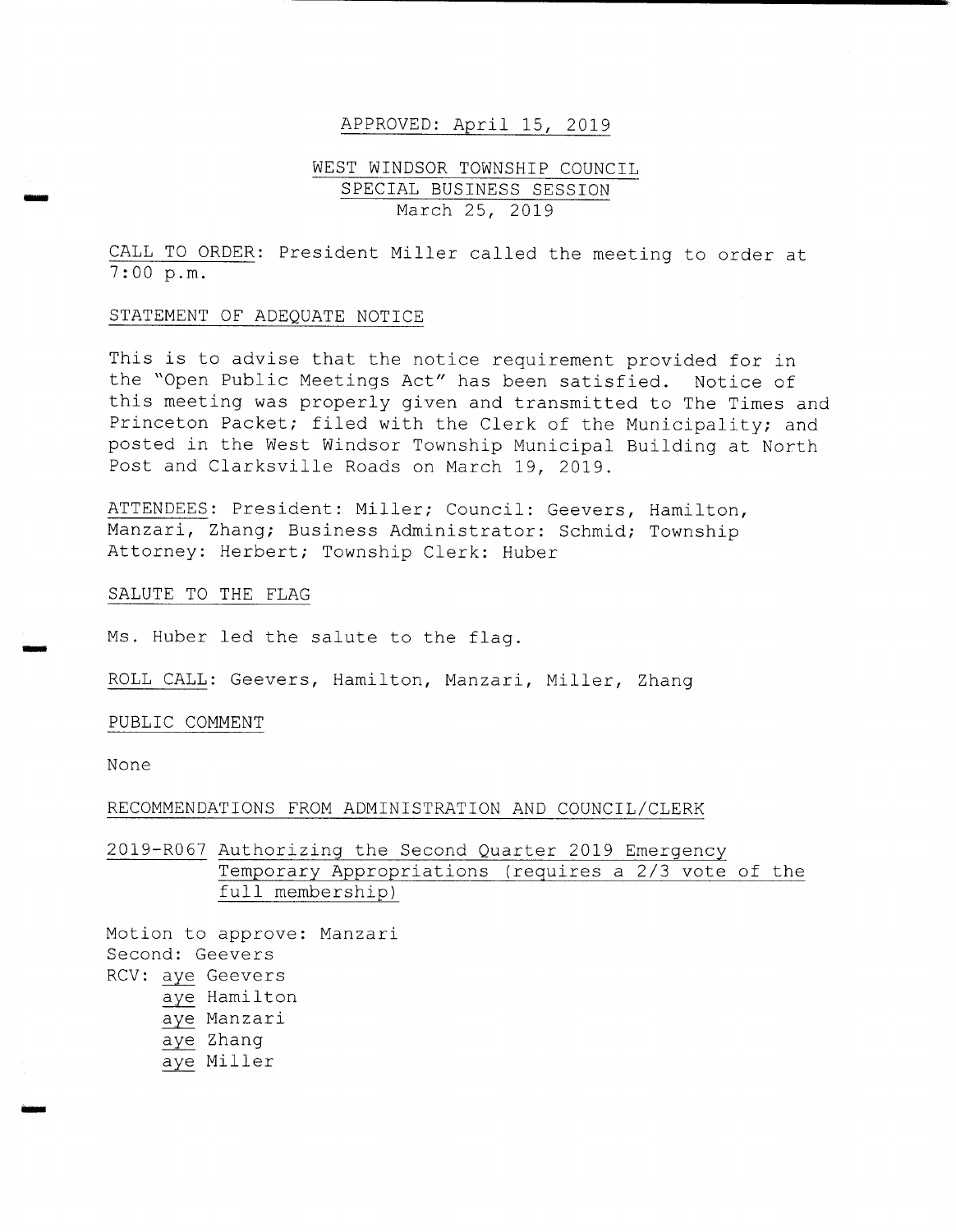#### APPROVED: April 15, 2019

# WEST WINDSOR TOWNSHIP COUNCIL SPECIAL BUSINESS SESSION March 25, 2019

CALL TO ORDER: President Miller called the meeting to order at 7 : 00 p. m.

### STATEMENT OF ADEQUATE NOTICE

This is to advise that the notice requirement provided for in the "Open Public Meetings Act" has been satisfied. Notice of this meeting was properly given and transmitted to The Times and Princeton Packet; filed with the Clerk of the Municipality; and posted in the West Windsor Township Municipal Building at North Post and Clarksville Roads on March 19, 2019 .

ATTENDEES: President: Miller; Council: Geevers, Hamilton, Manzari, Zhang; Business Administrator: Schmid; Township Attorney: Herbert; Township Clerk: Huber

### SALUTE TO THE FLAG

Ms. Huber led the salute to the flag.

ROLL CALL: Geevers, Hamilton, Manzari, Miller, Zhang

## PUBLIC COMMENT

None

#### RECOMMENDATIONS FROM ADMINISTRATION AND COUNCIL/CLERK

2019- R067 Authorizing the Second Quarter 2019 Emergency Temporary Appropriations (requires a 2/3 vote of the full membership)

Motion to approve: Manzari Second: Geevers RCV: aye Geevers aye Hamilton aye Manzari aye Zhang aye Miller